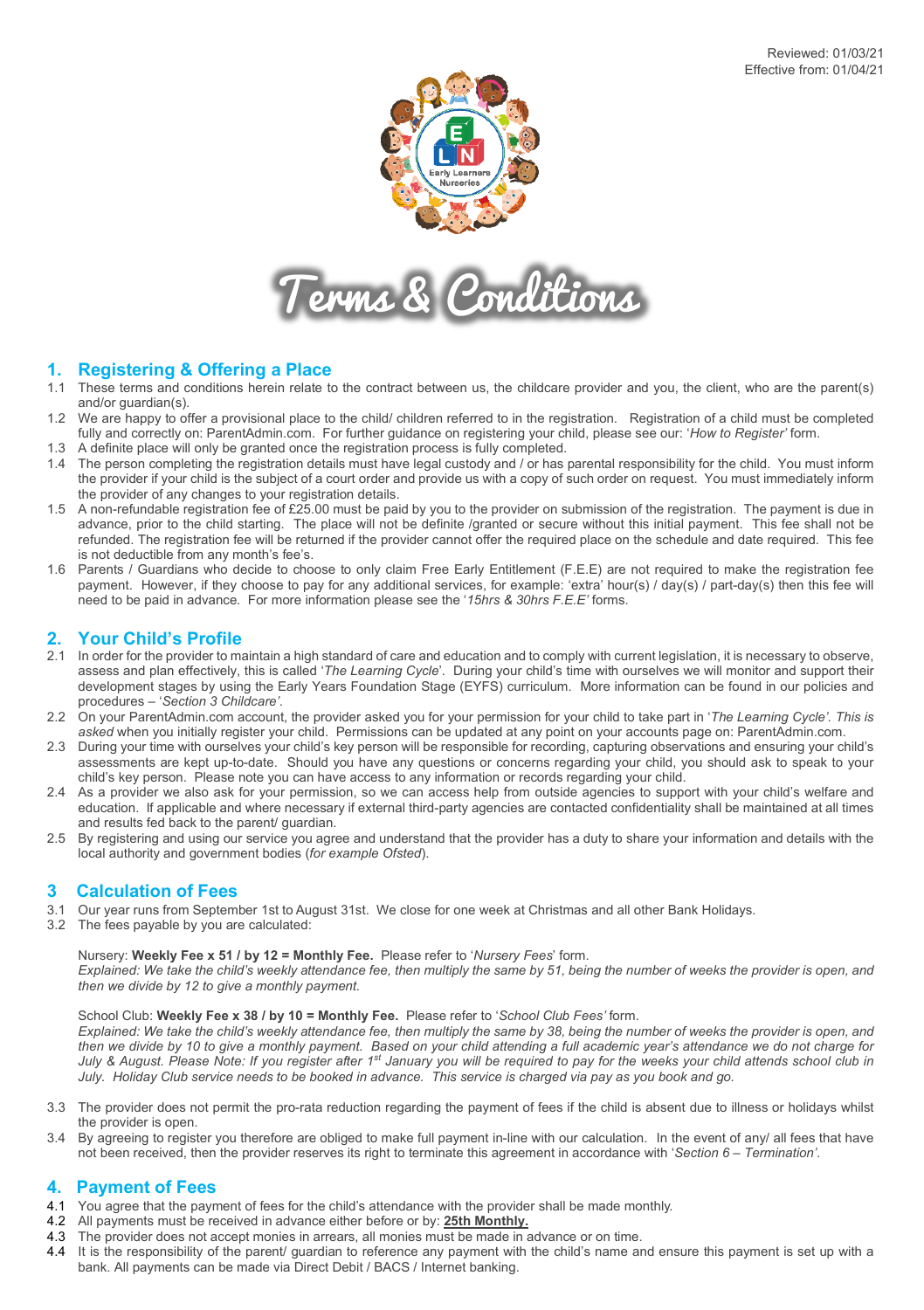



# **1. Registering & Offering a Place**

- 1.1 These terms and conditions herein relate to the contract between us, the childcare provider and you, the client, who are the parent(s) and/or guardian(s).
- 1.2 We are happy to offer a provisional place to the child/ children referred to in the registration. Registration of a child must be completed fully and correctly on: ParentAdmin.com. For further guidance on registering your child, please see our: '*How to Register'* form.
- 1.3 A definite place will only be granted once the registration process is fully completed.
- 1.4 The person completing the registration details must have legal custody and / or has parental responsibility for the child. You must inform the provider if your child is the subject of a court order and provide us with a copy of such order on request. You must immediately inform the provider of any changes to your registration details.
- 1.5 A non-refundable registration fee of £25.00 must be paid by you to the provider on submission of the registration. The payment is due in advance, prior to the child starting. The place will not be definite /granted or secure without this initial payment. This fee shall not be refunded. The registration fee will be returned if the provider cannot offer the required place on the schedule and date required. This fee is not deductible from any month's fee's.
- 1.6 Parents / Guardians who decide to choose to only claim Free Early Entitlement (F.E.E) are not required to make the registration fee payment. However, if they choose to pay for any additional services, for example: 'extra' hour(s) / day(s) / part-day(s) then this fee will need to be paid in advance. For more information please see the '*15hrs & 30hrs F.E.E'* forms.

- **2. Your Child's Profile**<br>2.1 In order for the provider to maintain a high standard of care and education and to comply with current legislation, it is necessary to observe, assess and plan effectively, this is called '*The Learning Cycle*'. During your child's time with ourselves we will monitor and support their development stages by using the Early Years Foundation Stage (EYFS) curriculum. More information can be found in our policies and procedures – '*Section 3 Childcare'*.
- 2.2 On your ParentAdmin.com account, the provider asked you for your permission for your child to take part in '*The Learning Cycle'. This is asked* when you initially register your child. Permissions can be updated at any point on your accounts page on: ParentAdmin.com.
- 2.3 During your time with ourselves your child's key person will be responsible for recording, capturing observations and ensuring your child's assessments are kept up-to-date. Should you have any questions or concerns regarding your child, you should ask to speak to your child's key person. Please note you can have access to any information or records regarding your child.
- 2.4 As a provider we also ask for your permission, so we can access help from outside agencies to support with your child's welfare and education. If applicable and where necessary if external third-party agencies are contacted confidentiality shall be maintained at all times and results fed back to the parent/ guardian.
- 2.5 By registering and using our service you agree and understand that the provider has a duty to share your information and details with the local authority and government bodies (*for example Ofsted*).

# **3 Calculation of Fees**

- 3.1 Our year runs from September 1st to August 31st. We close for one week at Christmas and all other Bank Holidays.
- 3.2 The fees payable by you are calculated:

## Nursery: **Weekly Fee x 51 / by 12 = Monthly Fee.** Please refer to '*Nursery Fees*' form.

*Explained: We take the child's weekly attendance fee, then multiply the same by 51, being the number of weeks the provider is open, and then we divide by 12 to give a monthly payment.* 

## School Club: **Weekly Fee x 38 / by 10 = Monthly Fee.** Please refer to '*School Club Fees'* form.

*Explained: We take the child's weekly attendance fee, then multiply the same by 38, being the number of weeks the provider is open, and then we divide by 10 to give a monthly payment. Based on your child attending a full academic year's attendance we do not charge for July & August. Please Note: If you register after 1st January you will be required to pay for the weeks your child attends school club in July. Holiday Club service needs to be booked in advance. This service is charged via pay as you book and go.*

- 3.3 The provider does not permit the pro-rata reduction regarding the payment of fees if the child is absent due to illness or holidays whilst the provider is open.
- 3.4 By agreeing to register you therefore are obliged to make full payment in-line with our calculation. In the event of any/ all fees that have not been received, then the provider reserves its right to terminate this agreement in accordance with '*Section 6 – Termination'*.

# **4. Payment of Fees**

- 4.1 You agree that the payment of fees for the child's attendance with the provider shall be made monthly.
- 4.2 All payments must be received in advance either before or by: **25th Monthly.**
- 4.3 The provider does not accept monies in arrears, all monies must be made in advance or on time.
- 4.4 It is the responsibility of the parent/ guardian to reference any payment with the child's name and ensure this payment is set up with a bank. All payments can be made via Direct Debit / BACS / Internet banking.